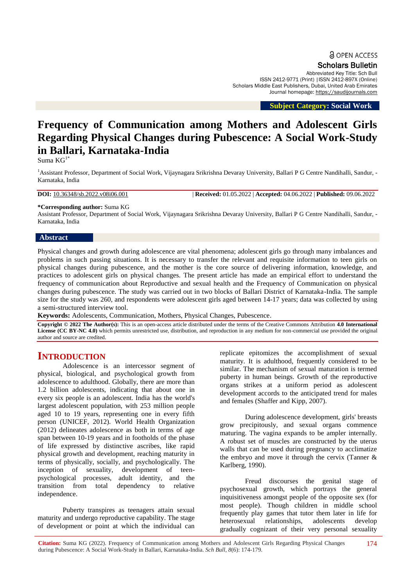Scholars Bulletin

Abbreviated Key Title: Sch Bull ISSN 2412-9771 (Print) |ISSN 2412-897X (Online) Scholars Middle East Publishers, Dubai, United Arab Emirates Journal homepage: [https://saudijournals.com](https://saudijournals.com/sb)

 **Subject Category: Social Work**

# **Frequency of Communication among Mothers and Adolescent Girls Regarding Physical Changes during Pubescence: A Social Work-Study in Ballari, Karnataka-India**

Suma  $KG^{1*}$ 

<sup>1</sup> Assistant Professor, Department of Social Work, Vijaynagara Srikrishna Devaray University, Ballari P G Centre Nandihalli, Sandur, -Karnataka, India

**DOI:** 10.36348/sb.2022.v08i06.001 | **Received:** 01.05.2022 | **Accepted:** 04.06.2022 | **Published:** 09.06.2022

#### **\*Corresponding author:** Suma KG

Assistant Professor, Department of Social Work, Vijaynagara Srikrishna Devaray University, Ballari P G Centre Nandihalli, Sandur, - Karnataka, India

#### **Abstract**

Physical changes and growth during adolescence are vital phenomena; adolescent girls go through many imbalances and problems in such passing situations. It is necessary to transfer the relevant and requisite information to teen girls on physical changes during pubescence, and the mother is the core source of delivering information, knowledge, and practices to adolescent girls on physical changes. The present article has made an empirical effort to understand the frequency of communication about Reproductive and sexual health and the Frequency of Communication on physical changes during pubescence. The study was carried out in two blocks of Ballari District of Karnataka-India. The sample size for the study was 260, and respondents were adolescent girls aged between 14-17 years; data was collected by using a semi-structured interview tool.

**Keywords:** Adolescents, Communication, Mothers, Physical Changes, Pubescence.

**Copyright © 2022 The Author(s):** This is an open-access article distributed under the terms of the Creative Commons Attribution **4.0 International License (CC BY-NC 4.0)** which permits unrestricted use, distribution, and reproduction in any medium for non-commercial use provided the original author and source are credited.

# **INTRODUCTION**

Adolescence is an intercessor segment of physical, biological, and psychological growth from adolescence to adulthood. Globally, there are more than 1.2 billion adolescents, indicating that about one in every six people is an adolescent. India has the world's largest adolescent population, with 253 million people aged 10 to 19 years, representing one in every fifth person (UNICEF, 2012). World Health Organization (2012) delineates adolescence as both in terms of age span between 10-19 years and in footholds of the phase of life expressed by distinctive ascribes, like rapid physical growth and development, reaching maturity in terms of physically, socially, and psychologically. The inception of sexuality, development of teenpsychological processes, adult identity, and the transition from total dependency to relative independence.

Puberty transpires as teenagers attain sexual maturity and undergo reproductive capability. The stage of development or point at which the individual can replicate epitomizes the accomplishment of sexual maturity. It is adulthood, frequently considered to be similar. The mechanism of sexual maturation is termed puberty in human beings. Growth of the reproductive organs strikes at a uniform period as adolescent development accords to the anticipated trend for males and females (Shaffer and Kipp, 2007).

During adolescence development, girls' breasts grow precipitously, and sexual organs commence maturing. The vagina expands to be ampler internally. A robust set of muscles are constructed by the uterus walls that can be used during pregnancy to acclimatize the embryo and move it through the cervix (Tanner & Karlberg, 1990).

Freud discourses the genital stage of psychosexual growth, which portrays the general inquisitiveness amongst people of the opposite sex (for most people). Though children in middle school frequently play games that tutor them later in life for heterosexual relationships, adolescents develop gradually cognizant of their very personal sexuality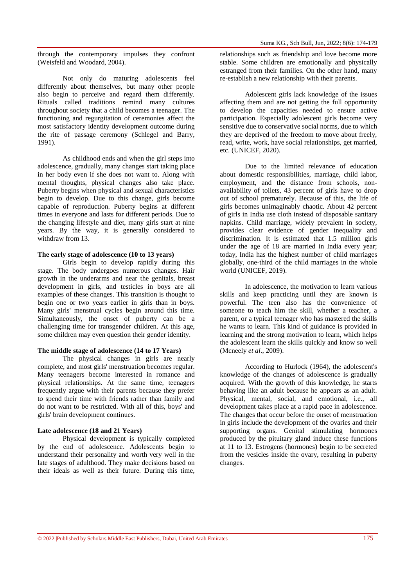through the contemporary impulses they confront (Weisfeld and Woodard, 2004).

Not only do maturing adolescents feel differently about themselves, but many other people also begin to perceive and regard them differently. Rituals called traditions remind many cultures throughout society that a child becomes a teenager. The functioning and regurgitation of ceremonies affect the most satisfactory identity development outcome during the rite of passage ceremony (Schlegel and Barry, 1991).

As childhood ends and when the girl steps into adolescence, gradually, many changes start taking place in her body even if she does not want to. Along with mental thoughts, physical changes also take place. Puberty begins when physical and sexual characteristics begin to develop. Due to this change, girls become capable of reproduction. Puberty begins at different times in everyone and lasts for different periods. Due to the changing lifestyle and diet, many girls start at nine years. By the way, it is generally considered to withdraw from 13.

# **The early stage of adolescence (10 to 13 years)**

Girls begin to develop rapidly during this stage. The body undergoes numerous changes. Hair growth in the underarms and near the genitals, breast development in girls, and testicles in boys are all examples of these changes. This transition is thought to begin one or two years earlier in girls than in boys. Many girls' menstrual cycles begin around this time. Simultaneously, the onset of puberty can be a challenging time for transgender children. At this age, some children may even question their gender identity.

#### **The middle stage of adolescence (14 to 17 Years)**

The physical changes in girls are nearly complete, and most girls' menstruation becomes regular. Many teenagers become interested in romance and physical relationships. At the same time, teenagers frequently argue with their parents because they prefer to spend their time with friends rather than family and do not want to be restricted. With all of this, boys' and girls' brain development continues.

#### **Late adolescence (18 and 21 Years)**

Physical development is typically completed by the end of adolescence. Adolescents begin to understand their personality and worth very well in the late stages of adulthood. They make decisions based on their ideals as well as their future. During this time,

relationships such as friendship and love become more stable. Some children are emotionally and physically estranged from their families. On the other hand, many re-establish a new relationship with their parents.

Adolescent girls lack knowledge of the issues affecting them and are not getting the full opportunity to develop the capacities needed to ensure active participation. Especially adolescent girls become very sensitive due to conservative social norms, due to which they are deprived of the freedom to move about freely, read, write, work, have social relationships, get married, etc. (UNICEF, 2020).

Due to the limited relevance of education about domestic responsibilities, marriage, child labor, employment, and the distance from schools, nonavailability of toilets, 43 percent of girls have to drop out of school prematurely. Because of this, the life of girls becomes unimaginably chaotic. About 42 percent of girls in India use cloth instead of disposable sanitary napkins. Child marriage, widely prevalent in society, provides clear evidence of gender inequality and discrimination. It is estimated that 1.5 million girls under the age of 18 are married in India every year; today, India has the highest number of child marriages globally, one-third of the child marriages in the whole world (UNICEF, 2019).

In adolescence, the motivation to learn various skills and keep practicing until they are known is powerful. The teen also has the convenience of someone to teach him the skill, whether a teacher, a parent, or a typical teenager who has mastered the skills he wants to learn. This kind of guidance is provided in learning and the strong motivation to learn, which helps the adolescent learn the skills quickly and know so well (Mcneely *et al*., 2009).

According to Hurlock (1964), the adolescent's knowledge of the changes of adolescence is gradually acquired. With the growth of this knowledge, he starts behaving like an adult because he appears as an adult. Physical, mental, social, and emotional, i.e., all development takes place at a rapid pace in adolescence. The changes that occur before the onset of menstruation in girls include the development of the ovaries and their supporting organs. Genital stimulating hormones produced by the pituitary gland induce these functions at 11 to 13. Estrogens (hormones) begin to be secreted from the vesicles inside the ovary, resulting in puberty changes.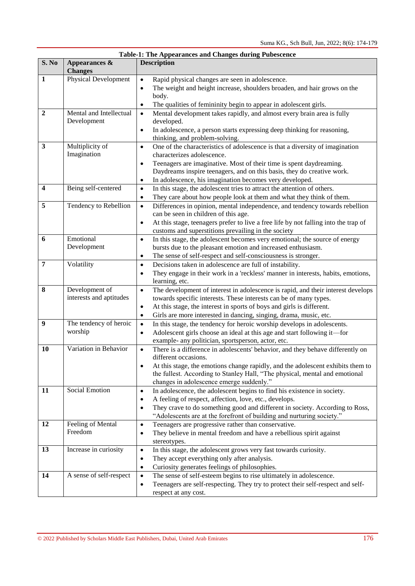|                         | Table-1: The Appearances and Changes during Pubescence |                                                                                                                                                                    |  |  |  |  |  |
|-------------------------|--------------------------------------------------------|--------------------------------------------------------------------------------------------------------------------------------------------------------------------|--|--|--|--|--|
| S. No                   | Appearances &<br><b>Changes</b>                        | <b>Description</b>                                                                                                                                                 |  |  |  |  |  |
| 1                       | <b>Physical Development</b>                            | Rapid physical changes are seen in adolescence.<br>$\bullet$                                                                                                       |  |  |  |  |  |
|                         |                                                        | The weight and height increase, shoulders broaden, and hair grows on the<br>$\bullet$                                                                              |  |  |  |  |  |
|                         |                                                        | body.                                                                                                                                                              |  |  |  |  |  |
|                         |                                                        | The qualities of femininity begin to appear in adolescent girls.<br>$\bullet$                                                                                      |  |  |  |  |  |
| $\overline{2}$          | Mental and Intellectual                                | Mental development takes rapidly, and almost every brain area is fully<br>$\bullet$                                                                                |  |  |  |  |  |
|                         | Development                                            | developed.                                                                                                                                                         |  |  |  |  |  |
|                         |                                                        | In adolescence, a person starts expressing deep thinking for reasoning,<br>$\bullet$<br>thinking, and problem-solving.                                             |  |  |  |  |  |
| $\mathbf{3}$            | Multiplicity of                                        | One of the characteristics of adolescence is that a diversity of imagination<br>$\bullet$                                                                          |  |  |  |  |  |
|                         | Imagination                                            | characterizes adolescence.                                                                                                                                         |  |  |  |  |  |
|                         |                                                        | Teenagers are imaginative. Most of their time is spent daydreaming.<br>$\bullet$                                                                                   |  |  |  |  |  |
|                         |                                                        | Daydreams inspire teenagers, and on this basis, they do creative work.                                                                                             |  |  |  |  |  |
|                         |                                                        | In adolescence, his imagination becomes very developed.<br>$\bullet$                                                                                               |  |  |  |  |  |
| $\overline{\mathbf{4}}$ | Being self-centered                                    | In this stage, the adolescent tries to attract the attention of others.<br>$\bullet$                                                                               |  |  |  |  |  |
| 5                       |                                                        | They care about how people look at them and what they think of them.<br>$\bullet$                                                                                  |  |  |  |  |  |
|                         | Tendency to Rebellion                                  | Differences in opinion, mental independence, and tendency towards rebellion<br>$\bullet$<br>can be seen in children of this age.                                   |  |  |  |  |  |
|                         |                                                        | At this stage, teenagers prefer to live a free life by not falling into the trap of<br>$\bullet$                                                                   |  |  |  |  |  |
|                         |                                                        | customs and superstitions prevailing in the society                                                                                                                |  |  |  |  |  |
| 6                       | Emotional                                              | In this stage, the adolescent becomes very emotional; the source of energy<br>$\bullet$                                                                            |  |  |  |  |  |
|                         | Development                                            | bursts due to the pleasant emotion and increased enthusiasm.                                                                                                       |  |  |  |  |  |
|                         |                                                        | The sense of self-respect and self-consciousness is stronger.<br>$\bullet$                                                                                         |  |  |  |  |  |
| $\overline{7}$          | Volatility                                             | Decisions taken in adolescence are full of instability.<br>$\bullet$                                                                                               |  |  |  |  |  |
|                         |                                                        | They engage in their work in a 'reckless' manner in interests, habits, emotions,<br>$\bullet$                                                                      |  |  |  |  |  |
| 8                       |                                                        | learning, etc.                                                                                                                                                     |  |  |  |  |  |
|                         | Development of<br>interests and aptitudes              | The development of interest in adolescence is rapid, and their interest develops<br>$\bullet$<br>towards specific interests. These interests can be of many types. |  |  |  |  |  |
|                         |                                                        | At this stage, the interest in sports of boys and girls is different.<br>$\bullet$                                                                                 |  |  |  |  |  |
|                         |                                                        | Girls are more interested in dancing, singing, drama, music, etc.<br>$\bullet$                                                                                     |  |  |  |  |  |
| $\boldsymbol{9}$        | The tendency of heroic                                 | In this stage, the tendency for heroic worship develops in adolescents.<br>$\bullet$                                                                               |  |  |  |  |  |
|                         | worship                                                | Adolescent girls choose an ideal at this age and start following it-for<br>$\bullet$                                                                               |  |  |  |  |  |
|                         |                                                        | example- any politician, sportsperson, actor, etc.                                                                                                                 |  |  |  |  |  |
| 10                      | Variation in Behavior                                  | There is a difference in adolescents' behavior, and they behave differently on<br>$\bullet$                                                                        |  |  |  |  |  |
|                         |                                                        | different occasions.                                                                                                                                               |  |  |  |  |  |
|                         |                                                        | At this stage, the emotions change rapidly, and the adolescent exhibits them to<br>$\bullet$                                                                       |  |  |  |  |  |
|                         |                                                        | the fullest. According to Stanley Hall, "The physical, mental and emotional                                                                                        |  |  |  |  |  |
|                         |                                                        | changes in adolescence emerge suddenly."                                                                                                                           |  |  |  |  |  |
| 11                      | Social Emotion                                         | In adolescence, the adolescent begins to find his existence in society.<br>$\bullet$                                                                               |  |  |  |  |  |
|                         |                                                        | A feeling of respect, affection, love, etc., develops.<br>$\bullet$                                                                                                |  |  |  |  |  |
|                         |                                                        | They crave to do something good and different in society. According to Ross,<br>$\bullet$                                                                          |  |  |  |  |  |
|                         |                                                        | "Adolescents are at the forefront of building and nurturing society."                                                                                              |  |  |  |  |  |
| 12                      | Feeling of Mental                                      | Teenagers are progressive rather than conservative.<br>$\bullet$                                                                                                   |  |  |  |  |  |
|                         | Freedom                                                | They believe in mental freedom and have a rebellious spirit against<br>$\bullet$                                                                                   |  |  |  |  |  |
|                         |                                                        | stereotypes.                                                                                                                                                       |  |  |  |  |  |
| 13                      | Increase in curiosity                                  | In this stage, the adolescent grows very fast towards curiosity.<br>$\bullet$                                                                                      |  |  |  |  |  |
|                         |                                                        | They accept everything only after analysis.<br>$\bullet$                                                                                                           |  |  |  |  |  |
|                         |                                                        | Curiosity generates feelings of philosophies.<br>$\bullet$                                                                                                         |  |  |  |  |  |
| 14                      | A sense of self-respect                                | The sense of self-esteem begins to rise ultimately in adolescence.<br>$\bullet$                                                                                    |  |  |  |  |  |
|                         |                                                        | Teenagers are self-respecting. They try to protect their self-respect and self-<br>$\bullet$                                                                       |  |  |  |  |  |
|                         |                                                        | respect at any cost.                                                                                                                                               |  |  |  |  |  |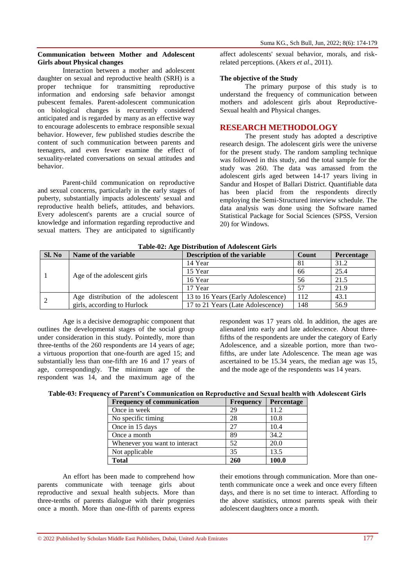#### **Communication between Mother and Adolescent Girls about Physical changes**

Interaction between a mother and adolescent daughter on sexual and reproductive health (SRH) is a proper technique for transmitting reproductive information and endorsing safe behavior amongst pubescent females. Parent-adolescent communication on biological changes is recurrently considered anticipated and is regarded by many as an effective way to encourage adolescents to embrace responsible sexual behavior. However, few published studies describe the content of such communication between parents and teenagers, and even fewer examine the effect of sexuality-related conversations on sexual attitudes and behavior.

Parent-child communication on reproductive and sexual concerns, particularly in the early stages of puberty, substantially impacts adolescents' sexual and reproductive health beliefs, attitudes, and behaviors. Every adolescent's parents are a crucial source of knowledge and information regarding reproductive and sexual matters. They are anticipated to significantly

affect adolescents' sexual behavior, morals, and riskrelated perceptions. (Akers *et al*., 2011).

### **The objective of the Study**

The primary purpose of this study is to understand the frequency of communication between mothers and adolescent girls about Reproductive-Sexual health and Physical changes.

# **RESEARCH METHODOLOGY**

The present study has adopted a descriptive research design. The adolescent girls were the universe for the present study. The random sampling technique was followed in this study, and the total sample for the study was 260. The data was amassed from the adolescent girls aged between 14-17 years living in Sandur and Hospet of Ballari District. Quantifiable data has been placid from the respondents directly employing the Semi-Structured interview schedule. The data analysis was done using the Software named Statistical Package for Social Sciences (SPSS, Version 20) for Windows.

| Sl. No | Name of the variable               | <b>Description of the variable</b> | Count | <b>Percentage</b> |  |  |  |
|--------|------------------------------------|------------------------------------|-------|-------------------|--|--|--|
|        |                                    | 14 Year                            | 81    | 31.2              |  |  |  |
|        | Age of the adolescent girls        | 15 Year                            | 66    | 25.4              |  |  |  |
|        |                                    | 16 Year                            | 56    | 21.5              |  |  |  |
|        |                                    | 17 Year                            | 57    | 21.9              |  |  |  |
|        | Age distribution of the adolescent | 13 to 16 Years (Early Adolescence) | 112   | 43.1              |  |  |  |
|        | girls, according to Hurlock        | 17 to 21 Years (Late Adolescence)  | 148   | 56.9              |  |  |  |

**Table-02: Age Distribution of Adolescent Girls**

Age is a decisive demographic component that outlines the developmental stages of the social group under consideration in this study. Pointedly, more than three-tenths of the 260 respondents are 14 years of age; a virtuous proportion that one-fourth are aged 15; and substantially less than one-fifth are 16 and 17 years of age, correspondingly. The minimum age of the respondent was 14, and the maximum age of the

respondent was 17 years old. In addition, the ages are alienated into early and late adolescence. About threefifths of the respondents are under the category of Early Adolescence, and a sizeable portion, more than twofifths, are under late Adolescence. The mean age was ascertained to be 15.34 years, the median age was 15, and the mode age of the respondents was 14 years.

| Table-03: Frequency of Parent's Communication on Reproductive and Sexual health with Adolescent Girls |  |  |  |  |
|-------------------------------------------------------------------------------------------------------|--|--|--|--|
|                                                                                                       |  |  |  |  |

| <b>Frequency of communication</b> | <b>Frequency</b> | Percentage |
|-----------------------------------|------------------|------------|
| Once in week                      | 29               | 11.2       |
| No specific timing                | 28               | 10.8       |
| Once in 15 days                   | 27               | 10.4       |
| Once a month                      | 89               | 34.2       |
| Whenever you want to interact     | 52               | 20.0       |
| Not applicable                    | 35               | 13.5       |
| <b>Total</b>                      | 260              | 100.0      |

An effort has been made to comprehend how parents communicate with teenage girls about reproductive and sexual health subjects. More than three-tenths of parents dialogue with their progenies once a month. More than one-fifth of parents express

their emotions through communication. More than onetenth communicate once a week and once every fifteen days, and there is no set time to interact. Affording to the above statistics, utmost parents speak with their adolescent daughters once a month.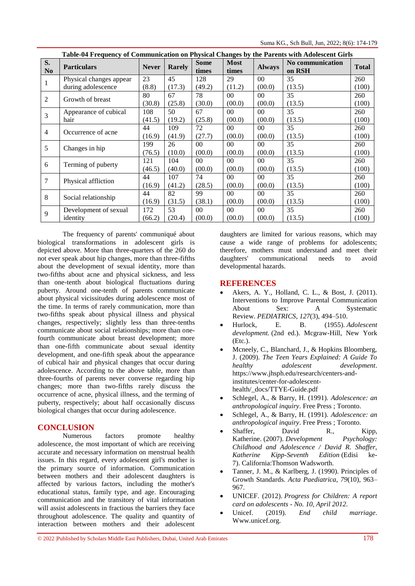|                      | Table-04 Frequency of Communication on Physical Changes by the Parents with Adolescent Girls |              |               |                      |                      |                 |                            |              |  |
|----------------------|----------------------------------------------------------------------------------------------|--------------|---------------|----------------------|----------------------|-----------------|----------------------------|--------------|--|
| S.<br>N <sub>0</sub> | <b>Particulars</b>                                                                           | <b>Never</b> | <b>Rarely</b> | <b>Some</b><br>times | <b>Most</b><br>times | <b>Always</b>   | No communication<br>on RSH | <b>Total</b> |  |
| 1                    | Physical changes appear                                                                      | 23           | 45            | 128                  | 29                   | 00 <sup>1</sup> | 35                         | 260          |  |
|                      | during adolescence                                                                           | (8.8)        | (17.3)        | (49.2)               | (11.2)               | (00.0)          | (13.5)                     | (100)        |  |
| $\overline{2}$       | Growth of breast                                                                             | 80           | 67            | 78                   | $00\,$               | $00\,$          | 35                         | 260          |  |
|                      |                                                                                              | (30.8)       | (25.8)        | (30.0)               | (0.00)               | (00.0)          | (13.5)                     | (100)        |  |
|                      | Appearance of cubical                                                                        | 108          | 50            | 67                   | 0 <sup>0</sup>       | 0 <sup>0</sup>  | 35                         | 260          |  |
| 3                    | hair                                                                                         | (41.5)       | (19.2)        | (25.8)               | (00.0)               | (00.0)          | (13.5)                     | (100)        |  |
| $\overline{4}$       | Occurrence of acne                                                                           | 44           | 109           | 72                   | $00\,$               | $00\,$          | 35                         | 260          |  |
|                      |                                                                                              | (16.9)       | (41.9)        | (27.7)               | (00.0)               | (00.0)          | (13.5)                     | (100)        |  |
|                      | Changes in hip                                                                               | 199          | 26            | 00 <sup>1</sup>      | $00\,$               | 00 <sup>1</sup> | 35                         | 260          |  |
| 5                    |                                                                                              | (76.5)       | (10.0)        | (0.00)               | (0.00)               | (00.0)          | (13.5)                     | (100)        |  |
| 6                    | Terming of puberty                                                                           | 121          | 104           | $00\,$               | $00\,$               | $00\,$          | 35                         | 260          |  |
|                      |                                                                                              | (46.5)       | (40.0)        | (00.0)               | (0.00)               | (00.0)          | (13.5)                     | (100)        |  |
|                      | Physical affliction                                                                          | 44           | 107           | 74                   | $00\,$               | 00 <sup>1</sup> | 35                         | 260          |  |
| 7                    |                                                                                              | (16.9)       | (41.2)        | (28.5)               | (0.00)               | (00.0)          | (13.5)                     | (100)        |  |
|                      | Social relationship                                                                          | 44           | 82            | 99                   | 00 <sup>1</sup>      | 00 <sup>1</sup> | 35                         | 260          |  |
| 8                    |                                                                                              | (16.9)       | (31.5)        | (38.1)               | (0.00)               | (00.0)          | (13.5)                     | (100)        |  |
|                      | Development of sexual                                                                        | 172          | 53            | $00\,$               | 00                   | $00\,$          | 35                         | 260          |  |
| 9                    | identity                                                                                     | (66.2)       | (20.4)        | (0.00)               | (0.00)               | (00.0)          | (13.5)                     | (100)        |  |

The frequency of parents' communiqué about biological transformations in adolescent girls is depicted above. More than three-quarters of the 260 do not ever speak about hip changes, more than three-fifths about the development of sexual identity, more than two-fifths about acne and physical sickness, and less than one-tenth about biological fluctuations during puberty. Around one-tenth of parents communicate about physical vicissitudes during adolescence most of the time. In terms of rarely communication, more than two-fifths speak about physical illness and physical changes, respectively; slightly less than three-tenths communicate about social relationships; more than onefourth communicate about breast development; more than one-fifth communicate about sexual identity development, and one-fifth speak about the appearance of cubical hair and physical changes that occur during adolescence. According to the above table, more than three-fourths of parents never converse regarding hip changes; more than two-fifths rarely discuss the occurrence of acne, physical illness, and the terming of puberty, respectively; about half occasionally discuss biological changes that occur during adolescence.

# **CONCLUSION**

Numerous factors promote healthy adolescence, the most important of which are receiving accurate and necessary information on menstrual health issues. In this regard, every adolescent girl's mother is the primary source of information. Communication between mothers and their adolescent daughters is affected by various factors, including the mother's educational status, family type, and age. Encouraging communication and the transitory of vital information will assist adolescents in fractious the barriers they face throughout adolescence. The quality and quantity of interaction between mothers and their adolescent

daughters are limited for various reasons, which may cause a wide range of problems for adolescents; therefore, mothers must understand and meet their daughters' communicational needs to avoid developmental hazards.

# **REFERENCES**

- Akers, A. Y., Holland, C. L., & Bost, J. (2011). Interventions to Improve Parental Communication About Sex: A Systematic Review. *PEDIATRICS*, *127*(3), 494–510.
- Hurlock, E. B. (1955). *Adolescent development.* (2nd ed.). Mcgraw-Hill, New York (Etc.).
- Mcneely, C., Blanchard, J., & Hopkins Bloomberg, J. (2009). *The Teen Years Explained: A Guide To healthy adolescent development*. https://www.jhsph.edu/research/centers-andinstitutes/center-for-adolescenthealth/\_docs/TTYE-Guide.pdf
- Schlegel, A., & Barry, H. (1991). *Adolescence: an anthropological inquiry*. Free Press ; Toronto.
- Schlegel, A., & Barry, H. (1991). *Adolescence: an anthropological inquiry*. Free Press ; Toronto.
- Shaffer, David R., Kipp, Katherine. (2007). *Development Psychology: Childhood and Adolescence / David R. Shaffer, Katherine Kipp-Seventh Edition* (Edisi ke-7). California:Thomson Wadsworth.
- Tanner, J. M., & Karlberg, J. (1990). Principles of Growth Standards. *Acta Paediatrica*, *79*(10), 963– 967.
- UNICEF. (2012). *Progress for Children: A report card on adolescents - No. 10, April 2012.*
- Unicef. (2019). *End child marriage*. Www.unicef.org.